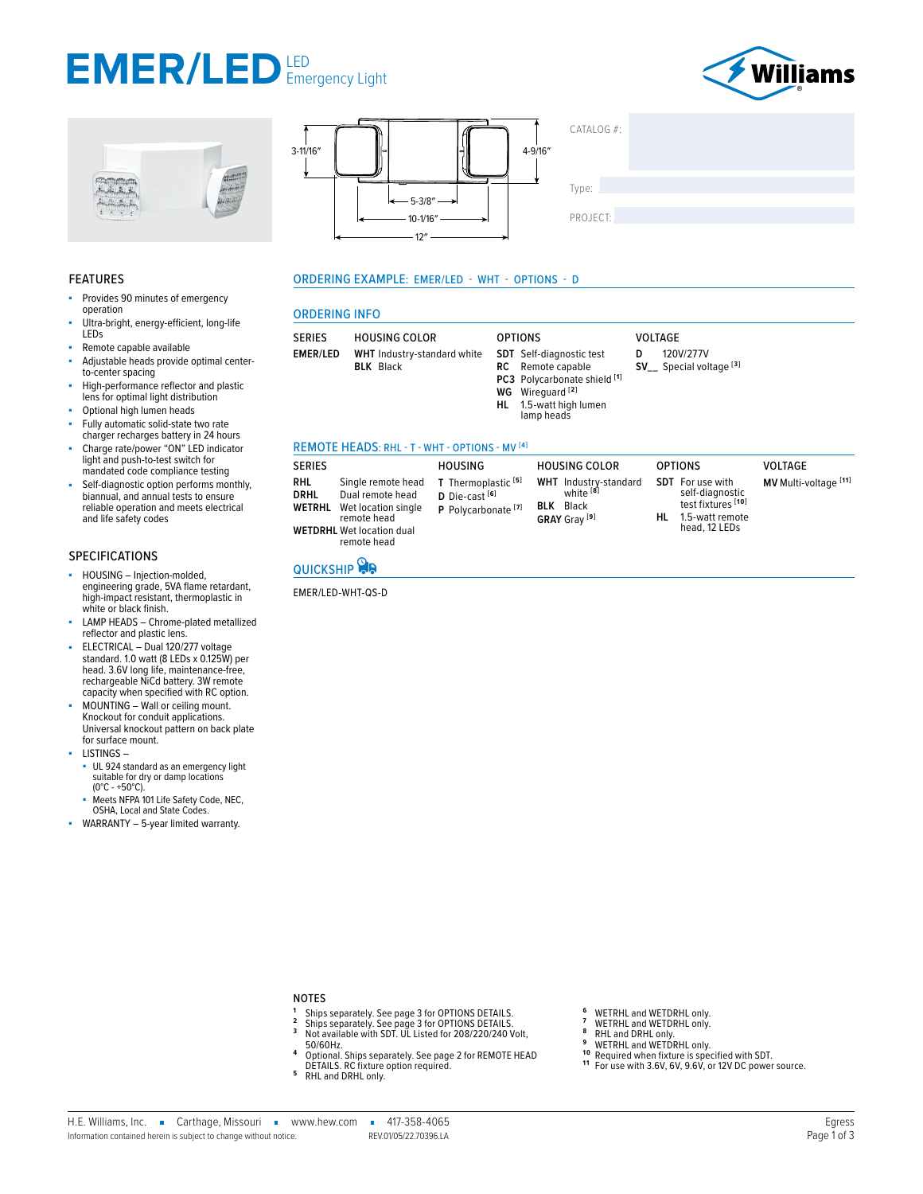## **EMER/LED** LED Emergency Light









#### **FEATURES**

- ä, Provides 90 minutes of emergency operation
- Ultra-bright, energy-efficient, long-life LEDs
- Remote capable available
- Adjustable heads provide optimal centerto-center spacing
- High-performance reflector and plastic lens for optimal light distribution
- Optional high lumen heads
- Fully automatic solid-state two rate charger recharges battery in 24 hours
- Charge rate/power "ON" LED indicator<br>light and push-to-test switch for<br>mandated code compliance testing
- Self-diagnostic option performs monthly, biannual, and annual tests to ensure reliable operation and meets electrical and life safety codes

#### **SPECIFICATIONS**

- HOUSING Injection-molded, à, engineering grade, 5VA flame retardant,<br>high-impact resistant, thermoplastic in white or black finish.
- LAMP HEADS Chrome-plated metallized reflector and plastic lens.
- Fenetorial plastic lense.<br>ELECTRICAL Dual 120/277 voltage<br>standard. 1.0 watt (8 LEDs x 0.125W) per<br>head. 3.6V long life, maintenance-free,<br>rechargeable NiCd battery. 3W remote<br>capacity when specified with RC option.
- MOUNTING Wall or ceiling mount. Knockout for conduit applications. Universal knockout pattern on back plate for surface mount.
- LISTINGS-
- UL 924 standard as an emergency light<br>suitable for dry or damp locations  $(0^{\circ}C - +50^{\circ}C).$
- Meets NFPA 101 Life Safety Code, NEC, OSHA, Local and State Codes.
- WARRANTY 5-year limited warranty.

#### **ORDERING EXAMPLE: EMER/LED - WHT - OPTIONS - D**

#### **ORDERING INFO**

|--|

#### REMOTE HEADS: RHL - T - WHT - OPTIONS - MV [4]

| <b>SERIES</b>                                                                                                                                                              | <b>HOUSING</b>                                                                         | <b>HOUSING COLOR</b>                                                                                 | <b>OPTIONS</b>                                                                                              | <b>VOLTAGE</b>        |
|----------------------------------------------------------------------------------------------------------------------------------------------------------------------------|----------------------------------------------------------------------------------------|------------------------------------------------------------------------------------------------------|-------------------------------------------------------------------------------------------------------------|-----------------------|
| <b>RHL</b><br>Single remote head<br><b>DRHL</b><br>Dual remote head<br><b>WETRHL</b> Wet location single<br>remote head<br><b>WETDRHL</b> Wet location dual<br>remote head | T Thermoplastic <sup>[5]</sup><br>$D$ Die-cast $[6]$<br>P Polycarbonate <sup>[7]</sup> | <b>WHT</b> Industry-standard<br>white <sup>[8]</sup><br><b>BLK</b> Black<br>GRAY Grav <sup>[9]</sup> | <b>SDT</b> For use with<br>self-diagnostic<br>test fixtures [10]<br>1.5-watt remote<br>HL.<br>head, 12 LEDs | MV Multi-voltage [11] |

### QUICKSHIP

EMER/LED-WHT-QS-D

### **NOTES**

- Ships separately. See page 3 for OPTIONS DETAILS.<br>Ships separately. See page 3 for OPTIONS DETAILS.<br>Not available with SDT. UL Listed for 208/220/240 Volt,  $\overline{2}$
- $\overline{\mathbf{3}}$
- 50/60Hz
- Surface Optional. Ships separately. See page 2 for REMOTE HEAD<br>DETAILS. RC fixture option required.<br>RHL and DRHL only.  $\overline{4}$
- 5
- 
- WETRHL and WETDRHL only.  $\overline{7}$ WETRHL and WETDRHL only.
- 
- RHL and DRHL only.<br>WETRHL and WETDRHL only. 9
- $10$
- Required when fixture is specified with SDT.<br>For use with 3.6V, 6V, 9.6V, or 12V DC power source.  $11$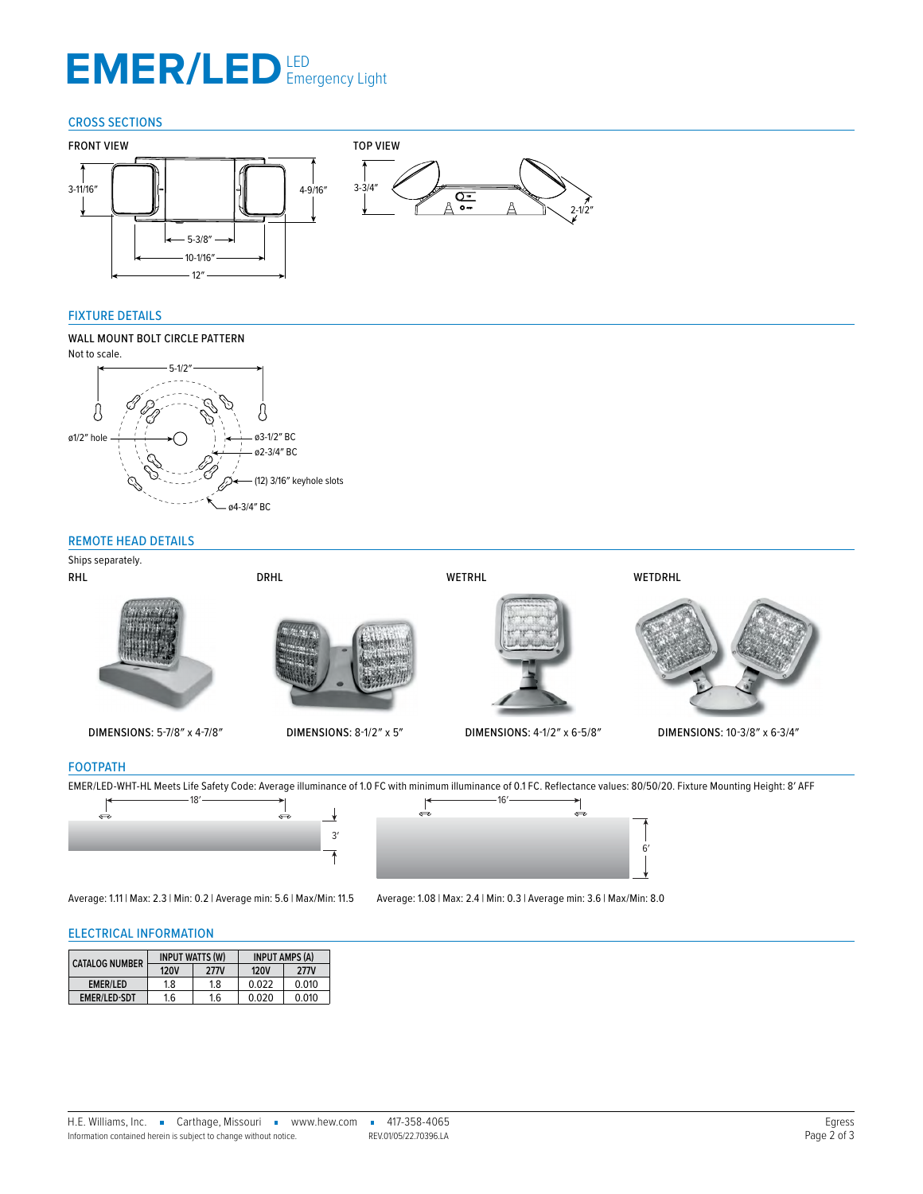# EMER/LED LED Emergency Light

#### CROSS SECTIONS



#### FIXTURE DETAILS

## 3-3/4″ WALL MOUNT BOLT CIRCLE PATTERN



#### <span id="page-1-0"></span>REMOTE HEAD DETAILS



#### FOOTPATH

EMER/LED-WHT-HL Meets Life Safety Code: Average illuminance of 1.0 FC with minimum illuminance of 0.1 FC. Reflectance values: 80/50/20. Fixture Mounting Height: 8' AFF<br>  $\leftarrow$ 



Average: 1.11 | Max: 2.3 | Min: 0.2 | Average min: 5.6 | Max/Min: 11.5 Average: 1.08 | Max: 2.4 | Min: 0.3 | Average min: 3.6 | Max/Min: 8.0

6′

↰

#### ELECTRICAL INFORMATION

| <b>CATALOG NUMBER</b> | <b>INPUT WATTS (W)</b> |             | <b>INPUT AMPS (A)</b> |             |
|-----------------------|------------------------|-------------|-----------------------|-------------|
|                       | <b>120V</b>            | <b>277V</b> | <b>120V</b>           | <b>277V</b> |
| EMER/LED              | 1.8                    | 1.8         | 0.022                 | 0.010       |
| <b>EMER/LED-SDT</b>   | 1.6                    | 1.6         | 0.020                 | 0.010       |